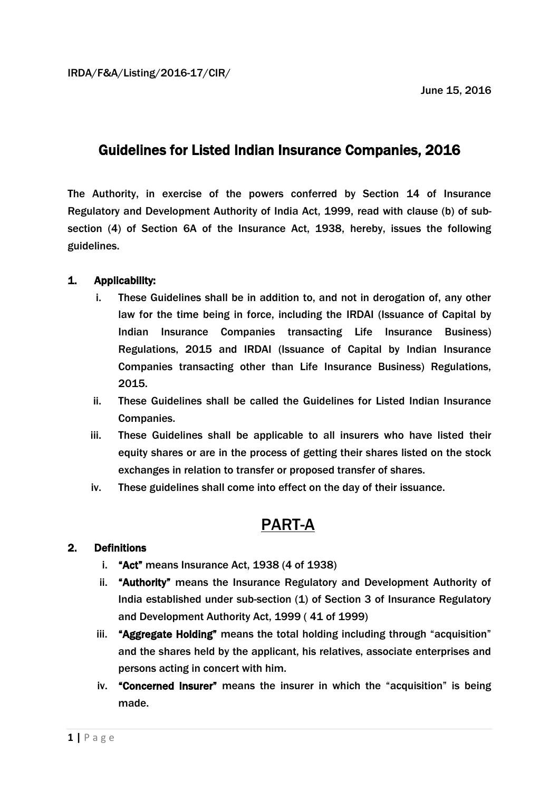# Guidelines for Listed Indian Insurance Companies, 2016

The Authority, in exercise of the powers conferred by Section 14 of Insurance Regulatory and Development Authority of India Act, 1999, read with clause (b) of subsection (4) of Section 6A of the Insurance Act, 1938, hereby, issues the following guidelines.

## 1. Applicability:

- i. These Guidelines shall be in addition to, and not in derogation of, any other law for the time being in force, including the IRDAI (Issuance of Capital by Indian Insurance Companies transacting Life Insurance Business) Regulations, 2015 and IRDAI (Issuance of Capital by Indian Insurance Companies transacting other than Life Insurance Business) Regulations, 2015.
- ii. These Guidelines shall be called the Guidelines for Listed Indian Insurance Companies.
- iii. These Guidelines shall be applicable to all insurers who have listed their equity shares or are in the process of getting their shares listed on the stock exchanges in relation to transfer or proposed transfer of shares.
- iv. These guidelines shall come into effect on the day of their issuance.

# PART-A

### 2. Definitions

- i. "Act" means Insurance Act, 1938 (4 of 1938)
- ii. "Authority" means the Insurance Regulatory and Development Authority of India established under sub-section (1) of Section 3 of Insurance Regulatory and Development Authority Act, 1999 ( 41 of 1999)
- iii. "Aggregate Holding" means the total holding including through "acquisition" and the shares held by the applicant, his relatives, associate enterprises and persons acting in concert with him.
- iv. "Concerned Insurer" means the insurer in which the "acquisition" is being made.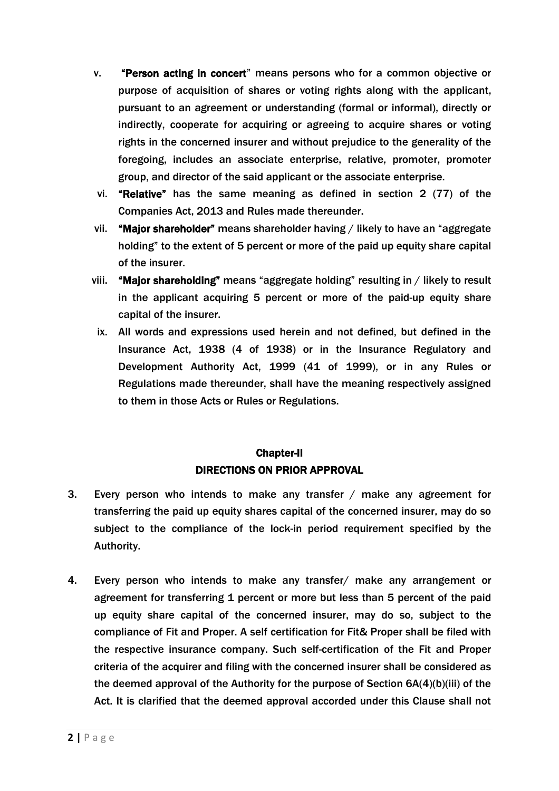- v. "Person acting in concert" means persons who for a common objective or purpose of acquisition of shares or voting rights along with the applicant, pursuant to an agreement or understanding (formal or informal), directly or indirectly, cooperate for acquiring or agreeing to acquire shares or voting rights in the concerned insurer and without prejudice to the generality of the foregoing, includes an associate enterprise, relative, promoter, promoter group, and director of the said applicant or the associate enterprise.
- vi. "Relative" has the same meaning as defined in section 2 (77) of the Companies Act, 2013 and Rules made thereunder.
- vii. "Major shareholder" means shareholder having / likely to have an "aggregate holding" to the extent of 5 percent or more of the paid up equity share capital of the insurer.
- viii. "Major shareholding" means "aggregate holding" resulting in / likely to result in the applicant acquiring 5 percent or more of the paid-up equity share capital of the insurer.
- ix. All words and expressions used herein and not defined, but defined in the Insurance Act, 1938 (4 of 1938) or in the Insurance Regulatory and Development Authority Act, 1999 (41 of 1999), or in any Rules or Regulations made thereunder, shall have the meaning respectively assigned to them in those Acts or Rules or Regulations.

# Chapter-II DIRECTIONS ON PRIOR APPROVAL

- 3. Every person who intends to make any transfer / make any agreement for transferring the paid up equity shares capital of the concerned insurer, may do so subject to the compliance of the lock-in period requirement specified by the Authority.
- 4. Every person who intends to make any transfer/ make any arrangement or agreement for transferring 1 percent or more but less than 5 percent of the paid up equity share capital of the concerned insurer, may do so, subject to the compliance of Fit and Proper. A self certification for Fit& Proper shall be filed with the respective insurance company. Such self-certification of the Fit and Proper criteria of the acquirer and filing with the concerned insurer shall be considered as the deemed approval of the Authority for the purpose of Section 6A(4)(b)(iii) of the Act. It is clarified that the deemed approval accorded under this Clause shall not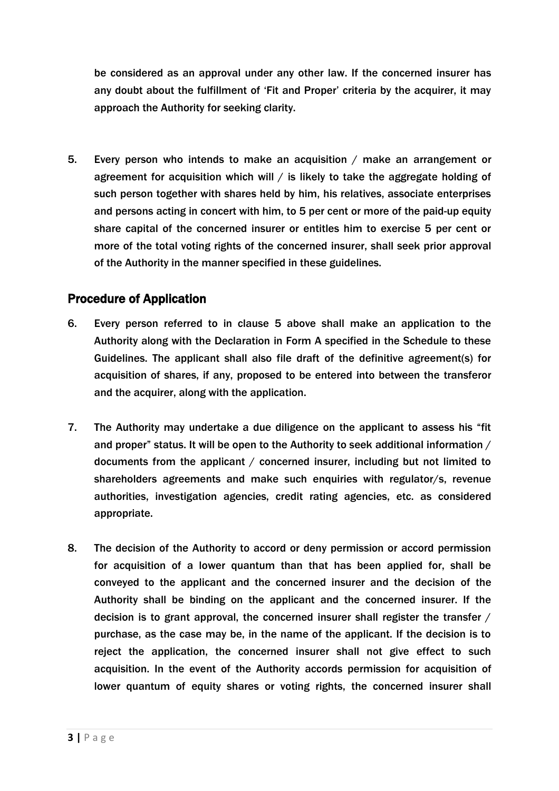be considered as an approval under any other law. If the concerned insurer has any doubt about the fulfillment of "Fit and Proper" criteria by the acquirer, it may approach the Authority for seeking clarity.

5. Every person who intends to make an acquisition / make an arrangement or agreement for acquisition which will  $/$  is likely to take the aggregate holding of such person together with shares held by him, his relatives, associate enterprises and persons acting in concert with him, to 5 per cent or more of the paid-up equity share capital of the concerned insurer or entitles him to exercise 5 per cent or more of the total voting rights of the concerned insurer, shall seek prior approval of the Authority in the manner specified in these guidelines.

# Procedure of Application

- 6. Every person referred to in clause 5 above shall make an application to the Authority along with the Declaration in Form A specified in the Schedule to these Guidelines. The applicant shall also file draft of the definitive agreement(s) for acquisition of shares, if any, proposed to be entered into between the transferor and the acquirer, along with the application.
- 7. The Authority may undertake a due diligence on the applicant to assess his "fit and proper" status. It will be open to the Authority to seek additional information / documents from the applicant / concerned insurer, including but not limited to shareholders agreements and make such enquiries with regulator/s, revenue authorities, investigation agencies, credit rating agencies, etc. as considered appropriate.
- 8. The decision of the Authority to accord or deny permission or accord permission for acquisition of a lower quantum than that has been applied for, shall be conveyed to the applicant and the concerned insurer and the decision of the Authority shall be binding on the applicant and the concerned insurer. If the decision is to grant approval, the concerned insurer shall register the transfer / purchase, as the case may be, in the name of the applicant. If the decision is to reject the application, the concerned insurer shall not give effect to such acquisition. In the event of the Authority accords permission for acquisition of lower quantum of equity shares or voting rights, the concerned insurer shall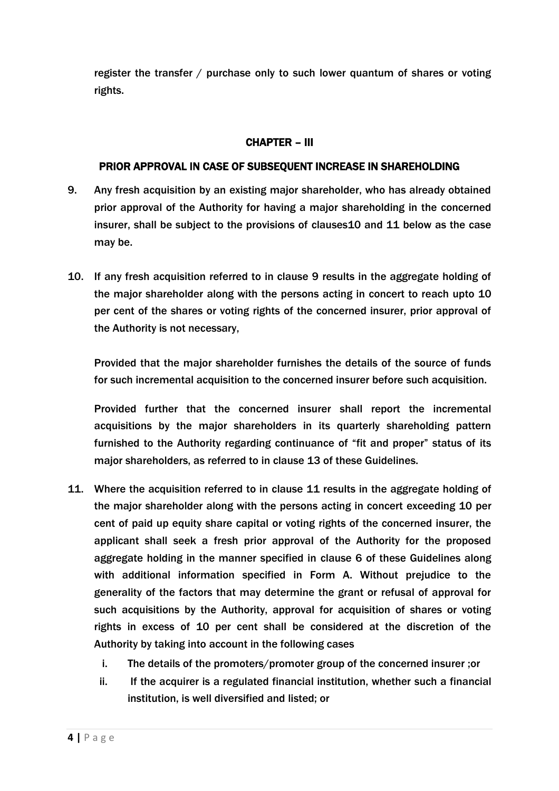register the transfer / purchase only to such lower quantum of shares or voting rights.

### CHAPTER – III

### PRIOR APPROVAL IN CASE OF SUBSEQUENT INCREASE IN SHAREHOLDING

- 9. Any fresh acquisition by an existing major shareholder, who has already obtained prior approval of the Authority for having a major shareholding in the concerned insurer, shall be subject to the provisions of clauses10 and 11 below as the case may be.
- 10. If any fresh acquisition referred to in clause 9 results in the aggregate holding of the major shareholder along with the persons acting in concert to reach upto 10 per cent of the shares or voting rights of the concerned insurer, prior approval of the Authority is not necessary,

Provided that the major shareholder furnishes the details of the source of funds for such incremental acquisition to the concerned insurer before such acquisition.

Provided further that the concerned insurer shall report the incremental acquisitions by the major shareholders in its quarterly shareholding pattern furnished to the Authority regarding continuance of "fit and proper" status of its major shareholders, as referred to in clause 13 of these Guidelines.

- 11. Where the acquisition referred to in clause 11 results in the aggregate holding of the major shareholder along with the persons acting in concert exceeding 10 per cent of paid up equity share capital or voting rights of the concerned insurer, the applicant shall seek a fresh prior approval of the Authority for the proposed aggregate holding in the manner specified in clause 6 of these Guidelines along with additional information specified in Form A. Without prejudice to the generality of the factors that may determine the grant or refusal of approval for such acquisitions by the Authority, approval for acquisition of shares or voting rights in excess of 10 per cent shall be considered at the discretion of the Authority by taking into account in the following cases
	- i. The details of the promoters/promoter group of the concerned insurer ;or
	- ii. If the acquirer is a regulated financial institution, whether such a financial institution, is well diversified and listed; or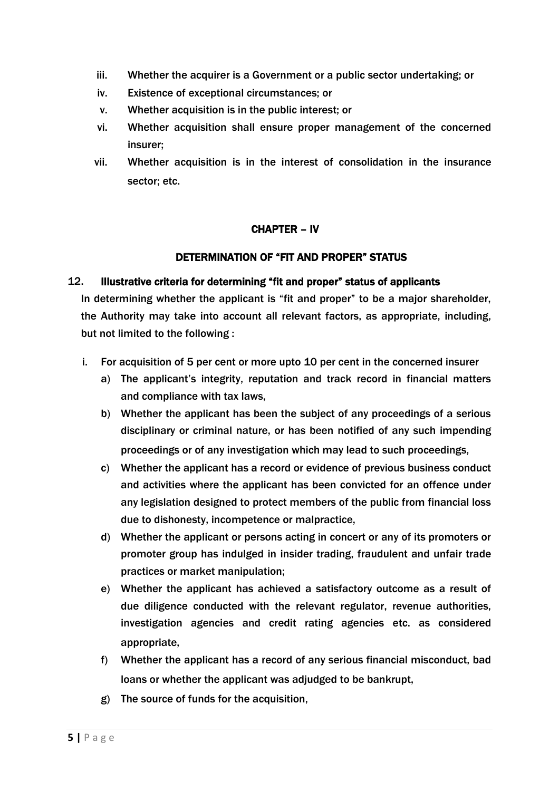- iii. Whether the acquirer is a Government or a public sector undertaking; or
- iv. Existence of exceptional circumstances; or
- v. Whether acquisition is in the public interest; or
- vi. Whether acquisition shall ensure proper management of the concerned insurer;
- vii. Whether acquisition is in the interest of consolidation in the insurance sector; etc.

#### CHAPTER – IV

#### DETERMINATION OF "FIT AND PROPER" STATUS

#### 12. Illustrative criteria for determining "fit and proper" status of applicants

In determining whether the applicant is "fit and proper" to be a major shareholder, the Authority may take into account all relevant factors, as appropriate, including, but not limited to the following :

- i. For acquisition of 5 per cent or more upto 10 per cent in the concerned insurer
	- a) The applicant"s integrity, reputation and track record in financial matters and compliance with tax laws,
	- b) Whether the applicant has been the subject of any proceedings of a serious disciplinary or criminal nature, or has been notified of any such impending proceedings or of any investigation which may lead to such proceedings,
	- c) Whether the applicant has a record or evidence of previous business conduct and activities where the applicant has been convicted for an offence under any legislation designed to protect members of the public from financial loss due to dishonesty, incompetence or malpractice,
	- d) Whether the applicant or persons acting in concert or any of its promoters or promoter group has indulged in insider trading, fraudulent and unfair trade practices or market manipulation;
	- e) Whether the applicant has achieved a satisfactory outcome as a result of due diligence conducted with the relevant regulator, revenue authorities, investigation agencies and credit rating agencies etc. as considered appropriate,
	- f) Whether the applicant has a record of any serious financial misconduct, bad loans or whether the applicant was adjudged to be bankrupt,
	- g) The source of funds for the acquisition,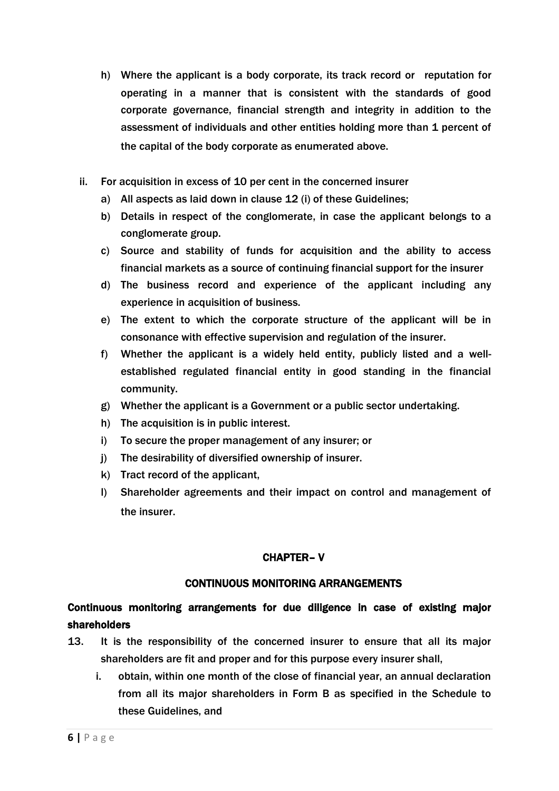- h) Where the applicant is a body corporate, its track record or reputation for operating in a manner that is consistent with the standards of good corporate governance, financial strength and integrity in addition to the assessment of individuals and other entities holding more than 1 percent of the capital of the body corporate as enumerated above.
- ii. For acquisition in excess of 10 per cent in the concerned insurer
	- a) All aspects as laid down in clause 12 (i) of these Guidelines;
	- b) Details in respect of the conglomerate, in case the applicant belongs to a conglomerate group.
	- c) Source and stability of funds for acquisition and the ability to access financial markets as a source of continuing financial support for the insurer
	- d) The business record and experience of the applicant including any experience in acquisition of business.
	- e) The extent to which the corporate structure of the applicant will be in consonance with effective supervision and regulation of the insurer.
	- f) Whether the applicant is a widely held entity, publicly listed and a wellestablished regulated financial entity in good standing in the financial community.
	- g) Whether the applicant is a Government or a public sector undertaking.
	- h) The acquisition is in public interest.
	- i) To secure the proper management of any insurer; or
	- j) The desirability of diversified ownership of insurer.
	- k) Tract record of the applicant,
	- l) Shareholder agreements and their impact on control and management of the insurer.

### CHAPTER– V

### CONTINUOUS MONITORING ARRANGEMENTS

# Continuous monitoring arrangements for due diligence in case of existing major shareholders

- 13. It is the responsibility of the concerned insurer to ensure that all its major shareholders are fit and proper and for this purpose every insurer shall,
	- i. obtain, within one month of the close of financial year, an annual declaration from all its major shareholders in Form B as specified in the Schedule to these Guidelines, and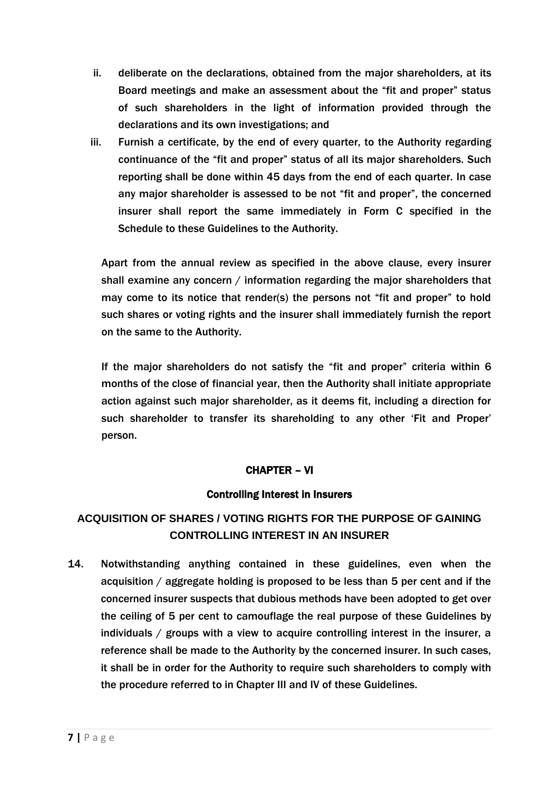- ii. deliberate on the declarations, obtained from the major shareholders, at its Board meetings and make an assessment about the "fit and proper" status of such shareholders in the light of information provided through the declarations and its own investigations; and
- iii. Furnish a certificate, by the end of every quarter, to the Authority regarding continuance of the "fit and proper" status of all its major shareholders. Such reporting shall be done within 45 days from the end of each quarter. In case any major shareholder is assessed to be not "fit and proper", the concerned insurer shall report the same immediately in Form C specified in the Schedule to these Guidelines to the Authority.

Apart from the annual review as specified in the above clause, every insurer shall examine any concern / information regarding the major shareholders that may come to its notice that render(s) the persons not "fit and proper" to hold such shares or voting rights and the insurer shall immediately furnish the report on the same to the Authority.

If the major shareholders do not satisfy the "fit and proper" criteria within 6 months of the close of financial year, then the Authority shall initiate appropriate action against such major shareholder, as it deems fit, including a direction for such shareholder to transfer its shareholding to any other "Fit and Proper" person.

### CHAPTER – VI

### Controlling Interest in Insurers

# **ACQUISITION OF SHARES / VOTING RIGHTS FOR THE PURPOSE OF GAINING CONTROLLING INTEREST IN AN INSURER**

14. Notwithstanding anything contained in these guidelines, even when the acquisition / aggregate holding is proposed to be less than 5 per cent and if the concerned insurer suspects that dubious methods have been adopted to get over the ceiling of 5 per cent to camouflage the real purpose of these Guidelines by individuals / groups with a view to acquire controlling interest in the insurer, a reference shall be made to the Authority by the concerned insurer. In such cases, it shall be in order for the Authority to require such shareholders to comply with the procedure referred to in Chapter III and IV of these Guidelines.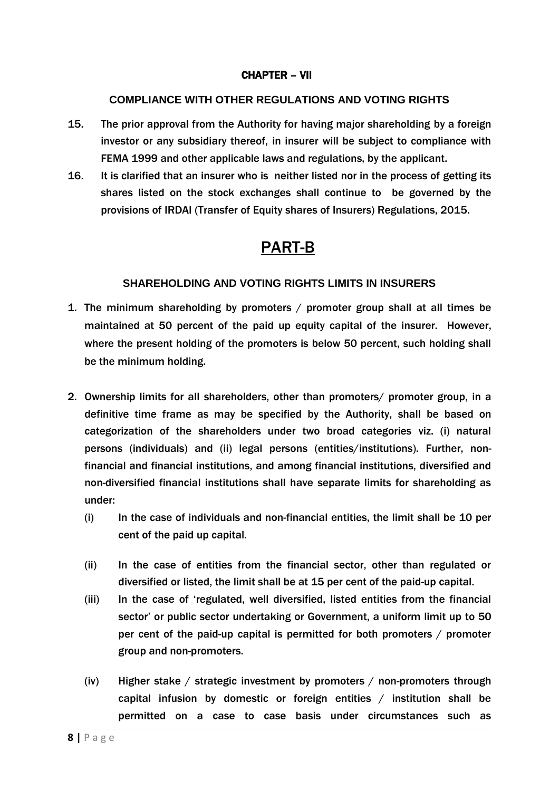#### CHAPTER – VII

#### **COMPLIANCE WITH OTHER REGULATIONS AND VOTING RIGHTS**

- 15. The prior approval from the Authority for having major shareholding by a foreign investor or any subsidiary thereof, in insurer will be subject to compliance with FEMA 1999 and other applicable laws and regulations, by the applicant.
- 16. It is clarified that an insurer who is neither listed nor in the process of getting its shares listed on the stock exchanges shall continue to be governed by the provisions of IRDAI (Transfer of Equity shares of Insurers) Regulations, 2015.

# PART-B

#### **SHAREHOLDING AND VOTING RIGHTS LIMITS IN INSURERS**

- 1. The minimum shareholding by promoters / promoter group shall at all times be maintained at 50 percent of the paid up equity capital of the insurer. However, where the present holding of the promoters is below 50 percent, such holding shall be the minimum holding.
- 2. Ownership limits for all shareholders, other than promoters/ promoter group, in a definitive time frame as may be specified by the Authority, shall be based on categorization of the shareholders under two broad categories viz. (i) natural persons (individuals) and (ii) legal persons (entities/institutions). Further, nonfinancial and financial institutions, and among financial institutions, diversified and non-diversified financial institutions shall have separate limits for shareholding as under:
	- (i) In the case of individuals and non-financial entities, the limit shall be 10 per cent of the paid up capital.
	- (ii) In the case of entities from the financial sector, other than regulated or diversified or listed, the limit shall be at 15 per cent of the paid-up capital.
	- (iii) In the case of "regulated, well diversified, listed entities from the financial sector" or public sector undertaking or Government, a uniform limit up to 50 per cent of the paid-up capital is permitted for both promoters / promoter group and non-promoters.
	- (iv) Higher stake / strategic investment by promoters / non-promoters through capital infusion by domestic or foreign entities / institution shall be permitted on a case to case basis under circumstances such as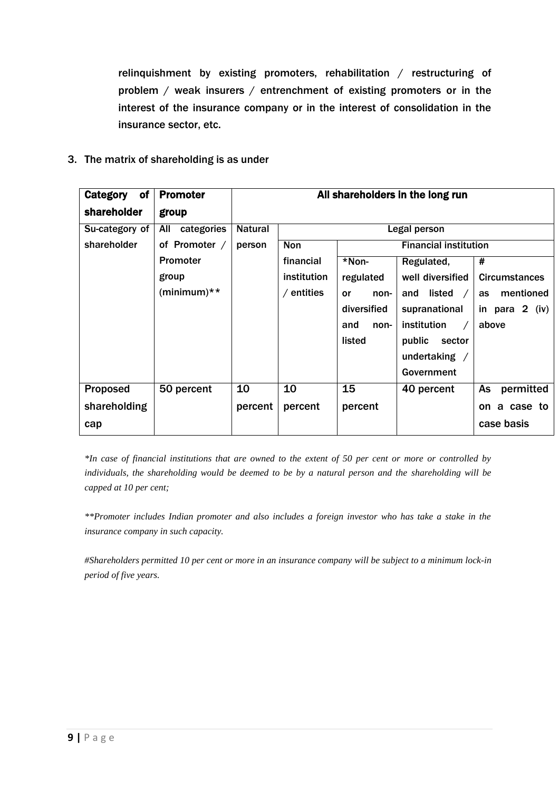relinquishment by existing promoters, rehabilitation / restructuring of problem / weak insurers / entrenchment of existing promoters or in the interest of the insurance company or in the interest of consolidation in the insurance sector, etc.

#### 3. The matrix of shareholding is as under

| of<br>Category | <b>Promoter</b>   | All shareholders in the long run |                                            |             |                          |                      |
|----------------|-------------------|----------------------------------|--------------------------------------------|-------------|--------------------------|----------------------|
| shareholder    | group             |                                  |                                            |             |                          |                      |
| Su-category of | All<br>categories | <b>Natural</b>                   | Legal person                               |             |                          |                      |
| shareholder    | of Promoter /     | person                           | <b>Financial institution</b><br><b>Non</b> |             |                          |                      |
|                | Promoter          |                                  | financial                                  | *Non-       | Regulated,               | #                    |
|                | group             |                                  | institution                                | regulated   | well diversified         | <b>Circumstances</b> |
|                | $(minimum)**$     |                                  | $/$ entities                               | or<br>non-  | listed $\sqrt{ }$<br>and | mentioned<br>as      |
|                |                   |                                  |                                            | diversified | supranational            | in para $2$ (iv)     |
|                |                   |                                  |                                            | and<br>non- | institution              | above                |
|                |                   |                                  |                                            | listed      | public<br>sector         |                      |
|                |                   |                                  |                                            |             | undertaking $/$          |                      |
|                |                   |                                  |                                            |             | Government               |                      |
| Proposed       | 50 percent        | 10                               | 10                                         | 15          | 40 percent               | As<br>permitted      |
| shareholding   |                   | percent                          | percent                                    | percent     |                          | a case to<br>on.     |
| cap            |                   |                                  |                                            |             |                          | case basis           |

*\*In case of financial institutions that are owned to the extent of 50 per cent or more or controlled by individuals, the shareholding would be deemed to be by a natural person and the shareholding will be capped at 10 per cent;*

*\*\*Promoter includes Indian promoter and also includes a foreign investor who has take a stake in the insurance company in such capacity.*

*#Shareholders permitted 10 per cent or more in an insurance company will be subject to a minimum lock-in period of five years.*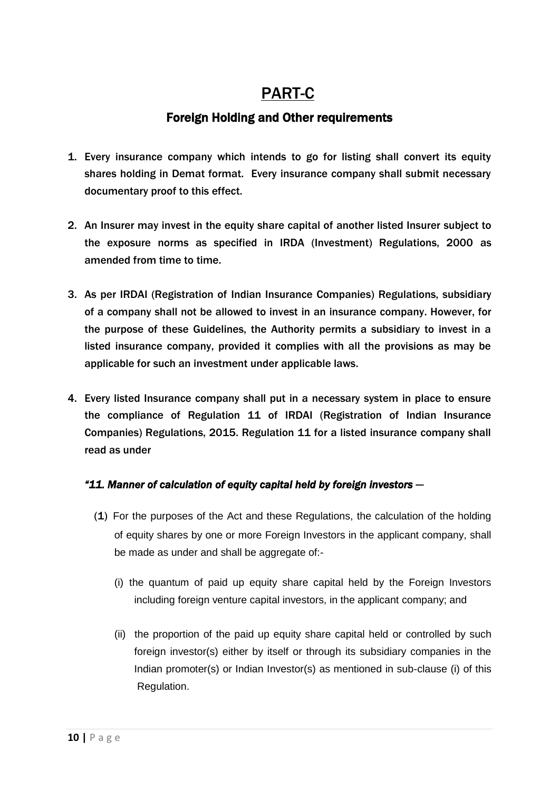# PART-C

# Foreign Holding and Other requirements

- 1. Every insurance company which intends to go for listing shall convert its equity shares holding in Demat format. Every insurance company shall submit necessary documentary proof to this effect.
- 2. An Insurer may invest in the equity share capital of another listed Insurer subject to the exposure norms as specified in IRDA (Investment) Regulations, 2000 as amended from time to time.
- 3. As per IRDAI (Registration of Indian Insurance Companies) Regulations, subsidiary of a company shall not be allowed to invest in an insurance company. However, for the purpose of these Guidelines, the Authority permits a subsidiary to invest in a listed insurance company, provided it complies with all the provisions as may be applicable for such an investment under applicable laws.
- 4. Every listed Insurance company shall put in a necessary system in place to ensure the compliance of Regulation 11 of IRDAI (Registration of Indian Insurance Companies) Regulations, 2015. Regulation 11 for a listed insurance company shall read as under

## *"11. Manner of calculation of equity capital held by foreign investors —*

- (1) For the purposes of the Act and these Regulations, the calculation of the holding of equity shares by one or more Foreign Investors in the applicant company, shall be made as under and shall be aggregate of:-
	- (i) the quantum of paid up equity share capital held by the Foreign Investors including foreign venture capital investors, in the applicant company; and
	- (ii) the proportion of the paid up equity share capital held or controlled by such foreign investor(s) either by itself or through its subsidiary companies in the Indian promoter(s) or Indian Investor(s) as mentioned in sub-clause (i) of this Regulation.